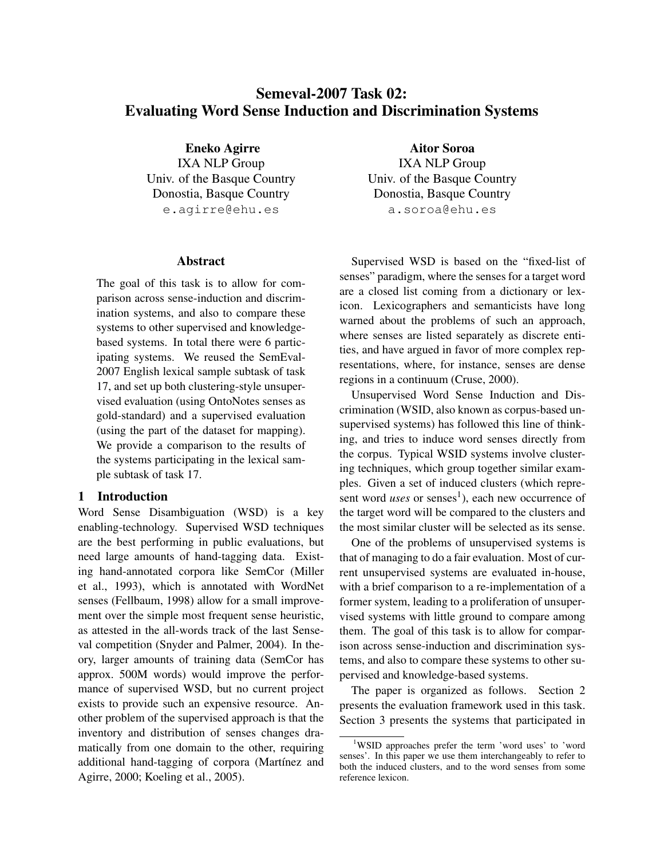# Semeval-2007 Task 02: Evaluating Word Sense Induction and Discrimination Systems

Eneko Agirre IXA NLP Group Univ. of the Basque Country Donostia, Basque Country e.agirre@ehu.es

## Abstract

The goal of this task is to allow for comparison across sense-induction and discrimination systems, and also to compare these systems to other supervised and knowledgebased systems. In total there were 6 participating systems. We reused the SemEval-2007 English lexical sample subtask of task 17, and set up both clustering-style unsupervised evaluation (using OntoNotes senses as gold-standard) and a supervised evaluation (using the part of the dataset for mapping). We provide a comparison to the results of the systems participating in the lexical sample subtask of task 17.

# 1 Introduction

Word Sense Disambiguation (WSD) is a key enabling-technology. Supervised WSD techniques are the best performing in public evaluations, but need large amounts of hand-tagging data. Existing hand-annotated corpora like SemCor (Miller et al., 1993), which is annotated with WordNet senses (Fellbaum, 1998) allow for a small improvement over the simple most frequent sense heuristic, as attested in the all-words track of the last Senseval competition (Snyder and Palmer, 2004). In theory, larger amounts of training data (SemCor has approx. 500M words) would improve the performance of supervised WSD, but no current project exists to provide such an expensive resource. Another problem of the supervised approach is that the inventory and distribution of senses changes dramatically from one domain to the other, requiring additional hand-tagging of corpora (Martínez and Agirre, 2000; Koeling et al., 2005).

Aitor Soroa IXA NLP Group Univ. of the Basque Country Donostia, Basque Country a.soroa@ehu.es

Supervised WSD is based on the "fixed-list of senses" paradigm, where the senses for a target word are a closed list coming from a dictionary or lexicon. Lexicographers and semanticists have long warned about the problems of such an approach, where senses are listed separately as discrete entities, and have argued in favor of more complex representations, where, for instance, senses are dense regions in a continuum (Cruse, 2000).

Unsupervised Word Sense Induction and Discrimination (WSID, also known as corpus-based unsupervised systems) has followed this line of thinking, and tries to induce word senses directly from the corpus. Typical WSID systems involve clustering techniques, which group together similar examples. Given a set of induced clusters (which represent word *uses* or senses<sup>1</sup>), each new occurrence of the target word will be compared to the clusters and the most similar cluster will be selected as its sense.

One of the problems of unsupervised systems is that of managing to do a fair evaluation. Most of current unsupervised systems are evaluated in-house, with a brief comparison to a re-implementation of a former system, leading to a proliferation of unsupervised systems with little ground to compare among them. The goal of this task is to allow for comparison across sense-induction and discrimination systems, and also to compare these systems to other supervised and knowledge-based systems.

The paper is organized as follows. Section 2 presents the evaluation framework used in this task. Section 3 presents the systems that participated in

<sup>&</sup>lt;sup>1</sup>WSID approaches prefer the term 'word uses' to 'word senses'. In this paper we use them interchangeably to refer to both the induced clusters, and to the word senses from some reference lexicon.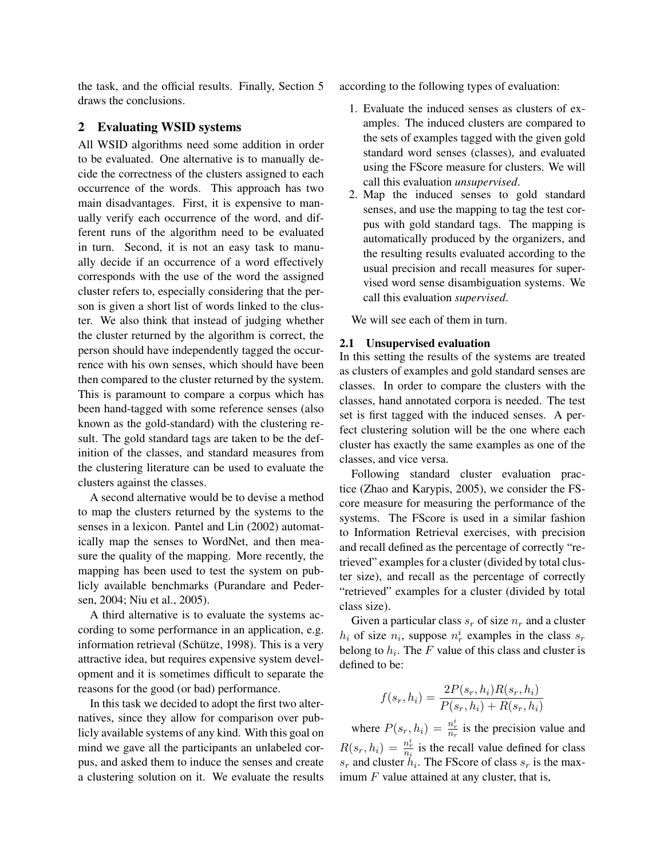the task, and the official results. Finally, Section 5 draws the conclusions.

## 2 Evaluating WSID systems

All WSID algorithms need some addition in order to be evaluated. One alternative is to manually decide the correctness of the clusters assigned to each occurrence of the words. This approach has two main disadvantages. First, it is expensive to manually verify each occurrence of the word, and different runs of the algorithm need to be evaluated in turn. Second, it is not an easy task to manually decide if an occurrence of a word effectively corresponds with the use of the word the assigned cluster refers to, especially considering that the person is given a short list of words linked to the cluster. We also think that instead of judging whether the cluster returned by the algorithm is correct, the person should have independently tagged the occurrence with his own senses, which should have been then compared to the cluster returned by the system. This is paramount to compare a corpus which has been hand-tagged with some reference senses (also known as the gold-standard) with the clustering result. The gold standard tags are taken to be the definition of the classes, and standard measures from the clustering literature can be used to evaluate the clusters against the classes.

A second alternative would be to devise a method to map the clusters returned by the systems to the senses in a lexicon. Pantel and Lin (2002) automatically map the senses to WordNet, and then measure the quality of the mapping. More recently, the mapping has been used to test the system on publicly available benchmarks (Purandare and Pedersen, 2004; Niu et al., 2005).

A third alternative is to evaluate the systems according to some performance in an application, e.g. information retrieval (Schütze, 1998). This is a very attractive idea, but requires expensive system development and it is sometimes difficult to separate the reasons for the good (or bad) performance.

In this task we decided to adopt the first two alternatives, since they allow for comparison over publicly available systems of any kind. With this goal on mind we gave all the participants an unlabeled corpus, and asked them to induce the senses and create a clustering solution on it. We evaluate the results according to the following types of evaluation:

- 1. Evaluate the induced senses as clusters of examples. The induced clusters are compared to the sets of examples tagged with the given gold standard word senses (classes), and evaluated using the FScore measure for clusters. We will call this evaluation *unsupervised*.
- 2. Map the induced senses to gold standard senses, and use the mapping to tag the test corpus with gold standard tags. The mapping is automatically produced by the organizers, and the resulting results evaluated according to the usual precision and recall measures for supervised word sense disambiguation systems. We call this evaluation *supervised*.

We will see each of them in turn.

#### 2.1 Unsupervised evaluation

In this setting the results of the systems are treated as clusters of examples and gold standard senses are classes. In order to compare the clusters with the classes, hand annotated corpora is needed. The test set is first tagged with the induced senses. A perfect clustering solution will be the one where each cluster has exactly the same examples as one of the classes, and vice versa.

Following standard cluster evaluation practice (Zhao and Karypis, 2005), we consider the FScore measure for measuring the performance of the systems. The FScore is used in a similar fashion to Information Retrieval exercises, with precision and recall defined as the percentage of correctly "retrieved" examples for a cluster (divided by total cluster size), and recall as the percentage of correctly "retrieved" examples for a cluster (divided by total class size).

Given a particular class  $s_r$  of size  $n_r$  and a cluster  $h_i$  of size  $n_i$ , suppose  $n_r^i$  examples in the class  $s_r$ belong to  $h_i$ . The F value of this class and cluster is defined to be:

$$
f(s_r, h_i) = \frac{2P(s_r, h_i)R(s_r, h_i)}{P(s_r, h_i) + R(s_r, h_i)}
$$

where  $P(s_r, h_i) = \frac{n_r^i}{n_r}$  is the precision value and  $R(s_r, h_i) = \frac{n_r^i}{n_i}$  is the recall value defined for class  $s_r$  and cluster  $h_i$ . The FScore of class  $s_r$  is the maximum  $F$  value attained at any cluster, that is,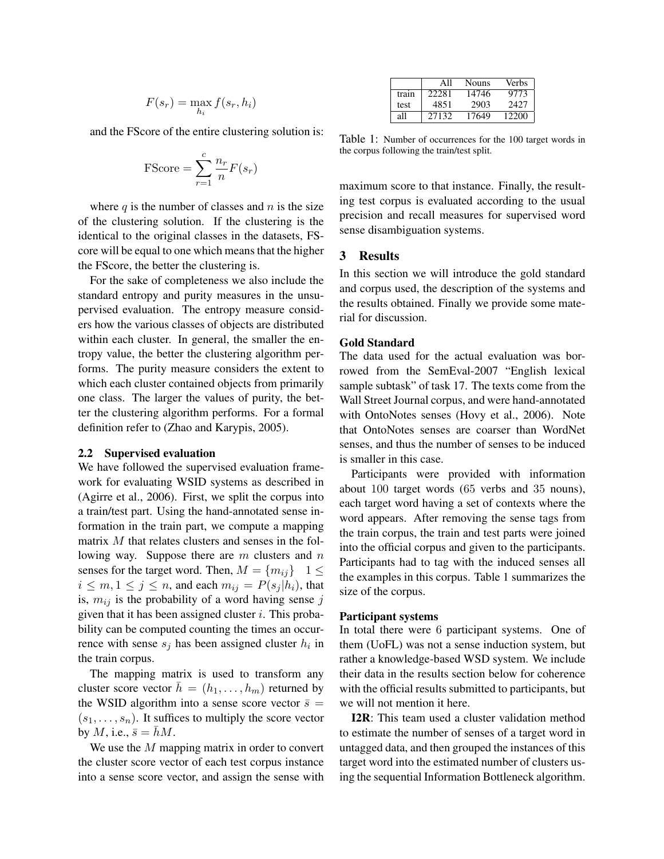$$
F(s_r) = \max_{h_i} f(s_r, h_i)
$$

and the FScore of the entire clustering solution is:

$$
\text{FScore} = \sum_{r=1}^{c} \frac{n_r}{n} F(s_r)
$$

where  $q$  is the number of classes and  $n$  is the size of the clustering solution. If the clustering is the identical to the original classes in the datasets, FScore will be equal to one which means that the higher the FScore, the better the clustering is.

For the sake of completeness we also include the standard entropy and purity measures in the unsupervised evaluation. The entropy measure considers how the various classes of objects are distributed within each cluster. In general, the smaller the entropy value, the better the clustering algorithm performs. The purity measure considers the extent to which each cluster contained objects from primarily one class. The larger the values of purity, the better the clustering algorithm performs. For a formal definition refer to (Zhao and Karypis, 2005).

#### 2.2 Supervised evaluation

We have followed the supervised evaluation framework for evaluating WSID systems as described in (Agirre et al., 2006). First, we split the corpus into a train/test part. Using the hand-annotated sense information in the train part, we compute a mapping matrix M that relates clusters and senses in the following way. Suppose there are  $m$  clusters and  $n$ senses for the target word. Then,  $M = \{m_{ij}\}\; 1 \leq$  $i \leq m, 1 \leq j \leq n$ , and each  $m_{ij} = P(s_j | h_i)$ , that is,  $m_{ij}$  is the probability of a word having sense j given that it has been assigned cluster  $i$ . This probability can be computed counting the times an occurrence with sense  $s_j$  has been assigned cluster  $h_i$  in the train corpus.

The mapping matrix is used to transform any cluster score vector  $h = (h_1, \ldots, h_m)$  returned by the WSID algorithm into a sense score vector  $\bar{s}$  =  $(s_1, \ldots, s_n)$ . It suffices to multiply the score vector by M, i.e.,  $\bar{s} = \bar{h}M$ .

We use the M mapping matrix in order to convert the cluster score vector of each test corpus instance into a sense score vector, and assign the sense with

|       | All   | Nouns | Verbs |
|-------|-------|-------|-------|
| train | 22281 | 14746 | 9773  |
| test  | 4851  | 2903  | 2427  |
| all   | 27132 | 17649 | 12200 |

Table 1: Number of occurrences for the 100 target words in the corpus following the train/test split.

maximum score to that instance. Finally, the resulting test corpus is evaluated according to the usual precision and recall measures for supervised word sense disambiguation systems.

# 3 Results

In this section we will introduce the gold standard and corpus used, the description of the systems and the results obtained. Finally we provide some material for discussion.

## Gold Standard

The data used for the actual evaluation was borrowed from the SemEval-2007 "English lexical sample subtask" of task 17. The texts come from the Wall Street Journal corpus, and were hand-annotated with OntoNotes senses (Hovy et al., 2006). Note that OntoNotes senses are coarser than WordNet senses, and thus the number of senses to be induced is smaller in this case.

Participants were provided with information about 100 target words (65 verbs and 35 nouns), each target word having a set of contexts where the word appears. After removing the sense tags from the train corpus, the train and test parts were joined into the official corpus and given to the participants. Participants had to tag with the induced senses all the examples in this corpus. Table 1 summarizes the size of the corpus.

### Participant systems

In total there were 6 participant systems. One of them (UoFL) was not a sense induction system, but rather a knowledge-based WSD system. We include their data in the results section below for coherence with the official results submitted to participants, but we will not mention it here.

I2R: This team used a cluster validation method to estimate the number of senses of a target word in untagged data, and then grouped the instances of this target word into the estimated number of clusters using the sequential Information Bottleneck algorithm.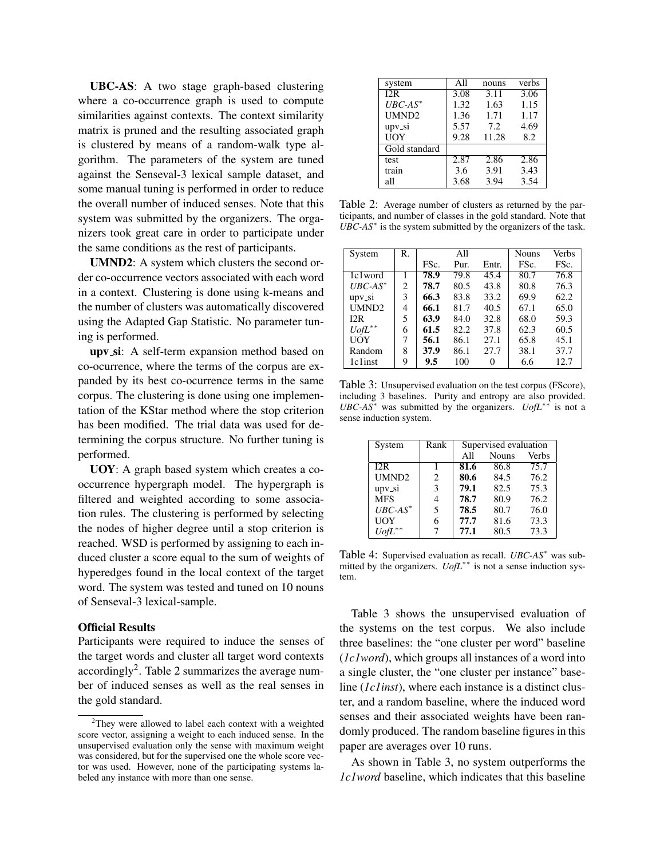UBC-AS: A two stage graph-based clustering where a co-occurrence graph is used to compute similarities against contexts. The context similarity matrix is pruned and the resulting associated graph is clustered by means of a random-walk type algorithm. The parameters of the system are tuned against the Senseval-3 lexical sample dataset, and some manual tuning is performed in order to reduce the overall number of induced senses. Note that this system was submitted by the organizers. The organizers took great care in order to participate under the same conditions as the rest of participants.

UMND2: A system which clusters the second order co-occurrence vectors associated with each word in a context. Clustering is done using k-means and the number of clusters was automatically discovered using the Adapted Gap Statistic. No parameter tuning is performed.

upv\_si: A self-term expansion method based on co-ocurrence, where the terms of the corpus are expanded by its best co-ocurrence terms in the same corpus. The clustering is done using one implementation of the KStar method where the stop criterion has been modified. The trial data was used for determining the corpus structure. No further tuning is performed.

UOY: A graph based system which creates a cooccurrence hypergraph model. The hypergraph is filtered and weighted according to some association rules. The clustering is performed by selecting the nodes of higher degree until a stop criterion is reached. WSD is performed by assigning to each induced cluster a score equal to the sum of weights of hyperedges found in the local context of the target word. The system was tested and tuned on 10 nouns of Senseval-3 lexical-sample.

#### Official Results

Participants were required to induce the senses of the target words and cluster all target word contexts accordingly<sup>2</sup>. Table 2 summarizes the average number of induced senses as well as the real senses in the gold standard.

| system            | All  | nouns | verbs |
|-------------------|------|-------|-------|
| I2R               | 3.08 | 3.11  | 3.06  |
| $UBC-AS^*$        | 1.32 | 1.63  | 1.15  |
| UMND <sub>2</sub> | 1.36 | 1.71  | 1.17  |
| upv_si            | 5.57 | 7.2   | 4.69  |
| UOY               | 9.28 | 11.28 | 8.2   |
| Gold standard     |      |       |       |
| test              | 2.87 | 2.86  | 2.86  |
| train             | 3.6  | 3.91  | 3.43  |
| all               | 3.68 | 3.94  | 3.54  |

Table 2: Average number of clusters as returned by the participants, and number of classes in the gold standard. Note that  $UBC-AS^*$  is the system submitted by the organizers of the task.

| System               | $\mathbf{R}$ . |      | All  |       | <b>Nouns</b> | Verbs |
|----------------------|----------------|------|------|-------|--------------|-------|
|                      |                | FSc. | Pur. | Entr. | FSc.         | FSc.  |
| 1c1word              |                | 78.9 | 79.8 | 45.4  | 80.7         | 76.8  |
| $UBC-AS^*$           | 2              | 78.7 | 80.5 | 43.8  | 80.8         | 76.3  |
| $upv$ <sub>-Si</sub> | 3              | 66.3 | 83.8 | 33.2  | 69.9         | 62.2  |
| UMND2                | 4              | 66.1 | 81.7 | 40.5  | 67.1         | 65.0  |
| 12R                  | 5              | 63.9 | 84.0 | 32.8  | 68.0         | 59.3  |
| $UofL^{**}$          | 6              | 61.5 | 82.2 | 37.8  | 62.3         | 60.5  |
| UOY                  | 7              | 56.1 | 86.1 | 27.1  | 65.8         | 45.1  |
| Random               | 8              | 37.9 | 86.1 | 27.7  | 38.1         | 37.7  |
| 1c1inst              | 9              | 9.5  | 100  | 0     | 6.6          | 12.7  |

Table 3: Unsupervised evaluation on the test corpus (FScore), including 3 baselines. Purity and entropy are also provided. *UBC-AS*<sup>∗</sup> was submitted by the organizers. *UofL*∗∗ is not a sense induction system.

| System      | Rank | Supervised evaluation |              |              |
|-------------|------|-----------------------|--------------|--------------|
|             |      | All                   | <b>Nouns</b> | <b>Verbs</b> |
| 12R         |      | 81.6                  | 86.8         | 75.7         |
| UMND2       | 2    | 80.6                  | 84.5         | 76.2         |
| upv_si      | 3    | 79.1                  | 82.5         | 75.3         |
| <b>MFS</b>  | 4    | 78.7                  | 80.9         | 76.2         |
| $UBC-AS^*$  | 5    | 78.5                  | 80.7         | 76.0         |
| <b>UOY</b>  | 6    | 77.7                  | 81.6         | 73.3         |
| $UofL^{**}$ |      | 77.1                  | 80.5         | 73.3         |

Table 4: Supervised evaluation as recall. *UBC-AS*<sup>∗</sup> was submitted by the organizers. *UofL*∗∗ is not a sense induction system.

Table 3 shows the unsupervised evaluation of the systems on the test corpus. We also include three baselines: the "one cluster per word" baseline (*1c1word*), which groups all instances of a word into a single cluster, the "one cluster per instance" baseline (*1c1inst*), where each instance is a distinct cluster, and a random baseline, where the induced word senses and their associated weights have been randomly produced. The random baseline figures in this paper are averages over 10 runs.

As shown in Table 3, no system outperforms the *1c1word* baseline, which indicates that this baseline

<sup>&</sup>lt;sup>2</sup>They were allowed to label each context with a weighted score vector, assigning a weight to each induced sense. In the unsupervised evaluation only the sense with maximum weight was considered, but for the supervised one the whole score vector was used. However, none of the participating systems labeled any instance with more than one sense.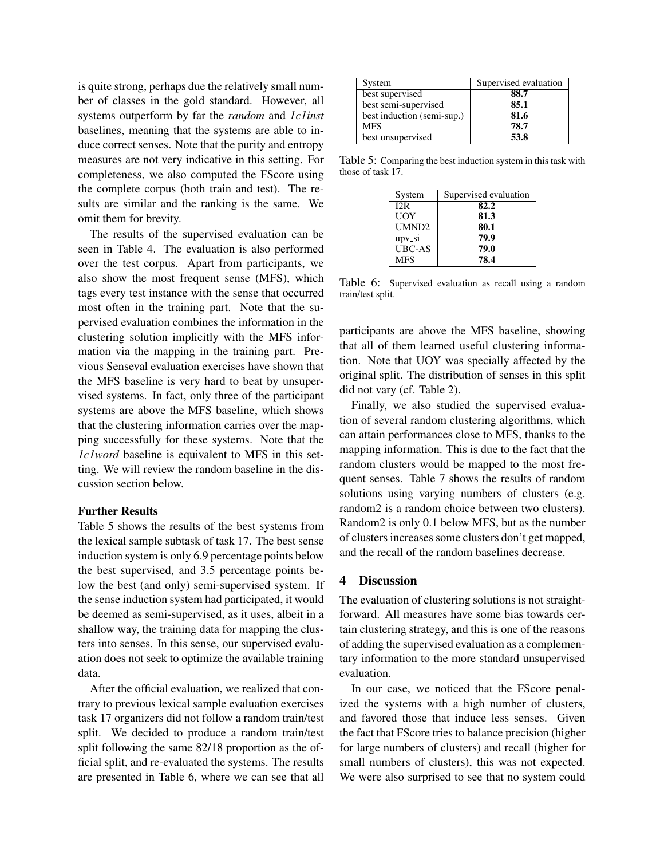is quite strong, perhaps due the relatively small number of classes in the gold standard. However, all systems outperform by far the *random* and *1c1inst* baselines, meaning that the systems are able to induce correct senses. Note that the purity and entropy measures are not very indicative in this setting. For completeness, we also computed the FScore using the complete corpus (both train and test). The results are similar and the ranking is the same. We omit them for brevity.

The results of the supervised evaluation can be seen in Table 4. The evaluation is also performed over the test corpus. Apart from participants, we also show the most frequent sense (MFS), which tags every test instance with the sense that occurred most often in the training part. Note that the supervised evaluation combines the information in the clustering solution implicitly with the MFS information via the mapping in the training part. Previous Senseval evaluation exercises have shown that the MFS baseline is very hard to beat by unsupervised systems. In fact, only three of the participant systems are above the MFS baseline, which shows that the clustering information carries over the mapping successfully for these systems. Note that the *1c1word* baseline is equivalent to MFS in this setting. We will review the random baseline in the discussion section below.

## Further Results

Table 5 shows the results of the best systems from the lexical sample subtask of task 17. The best sense induction system is only 6.9 percentage points below the best supervised, and 3.5 percentage points below the best (and only) semi-supervised system. If the sense induction system had participated, it would be deemed as semi-supervised, as it uses, albeit in a shallow way, the training data for mapping the clusters into senses. In this sense, our supervised evaluation does not seek to optimize the available training data.

After the official evaluation, we realized that contrary to previous lexical sample evaluation exercises task 17 organizers did not follow a random train/test split. We decided to produce a random train/test split following the same 82/18 proportion as the official split, and re-evaluated the systems. The results are presented in Table 6, where we can see that all

| System                     | Supervised evaluation |
|----------------------------|-----------------------|
| best supervised            | 88.7                  |
| best semi-supervised       | 85.1                  |
| best induction (semi-sup.) | 81.6                  |
| <b>MFS</b>                 | 78.7                  |
| best unsupervised          | 53.8                  |

Table 5: Comparing the best induction system in this task with those of task 17.

| System              | Supervised evaluation |
|---------------------|-----------------------|
| 12R                 | 82.2                  |
| UOY                 | 81.3                  |
| UMND <sub>2</sub>   | 80.1                  |
| $upv$ <sub>si</sub> | 79.9                  |
| <b>UBC-AS</b>       | 79.0                  |
| <b>MFS</b>          | 78.4                  |

Table 6: Supervised evaluation as recall using a random train/test split.

participants are above the MFS baseline, showing that all of them learned useful clustering information. Note that UOY was specially affected by the original split. The distribution of senses in this split did not vary (cf. Table 2).

Finally, we also studied the supervised evaluation of several random clustering algorithms, which can attain performances close to MFS, thanks to the mapping information. This is due to the fact that the random clusters would be mapped to the most frequent senses. Table 7 shows the results of random solutions using varying numbers of clusters (e.g. random2 is a random choice between two clusters). Random2 is only 0.1 below MFS, but as the number of clusters increases some clusters don't get mapped, and the recall of the random baselines decrease.

## 4 Discussion

The evaluation of clustering solutions is not straightforward. All measures have some bias towards certain clustering strategy, and this is one of the reasons of adding the supervised evaluation as a complementary information to the more standard unsupervised evaluation.

In our case, we noticed that the FScore penalized the systems with a high number of clusters, and favored those that induce less senses. Given the fact that FScore tries to balance precision (higher for large numbers of clusters) and recall (higher for small numbers of clusters), this was not expected. We were also surprised to see that no system could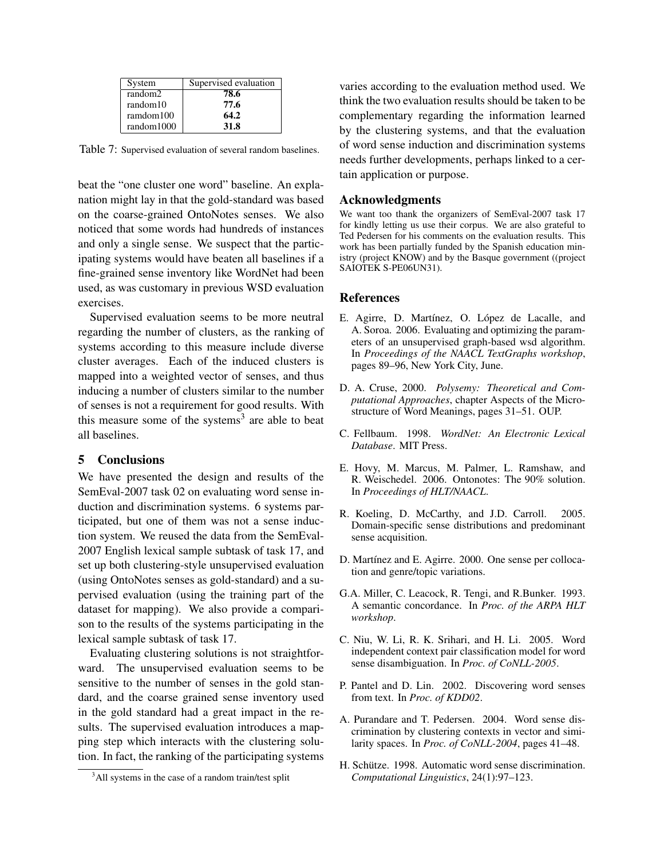| System     | Supervised evaluation |
|------------|-----------------------|
| random2    | 78.6                  |
| random10   | 77.6                  |
| ramdom100  | 64.2                  |
| random1000 | <b>31.8</b>           |

Table 7: Supervised evaluation of several random baselines.

beat the "one cluster one word" baseline. An explanation might lay in that the gold-standard was based on the coarse-grained OntoNotes senses. We also noticed that some words had hundreds of instances and only a single sense. We suspect that the participating systems would have beaten all baselines if a fine-grained sense inventory like WordNet had been used, as was customary in previous WSD evaluation exercises.

Supervised evaluation seems to be more neutral regarding the number of clusters, as the ranking of systems according to this measure include diverse cluster averages. Each of the induced clusters is mapped into a weighted vector of senses, and thus inducing a number of clusters similar to the number of senses is not a requirement for good results. With this measure some of the systems<sup>3</sup> are able to beat all baselines.

#### 5 Conclusions

We have presented the design and results of the SemEval-2007 task 02 on evaluating word sense induction and discrimination systems. 6 systems participated, but one of them was not a sense induction system. We reused the data from the SemEval-2007 English lexical sample subtask of task 17, and set up both clustering-style unsupervised evaluation (using OntoNotes senses as gold-standard) and a supervised evaluation (using the training part of the dataset for mapping). We also provide a comparison to the results of the systems participating in the lexical sample subtask of task 17.

Evaluating clustering solutions is not straightforward. The unsupervised evaluation seems to be sensitive to the number of senses in the gold standard, and the coarse grained sense inventory used in the gold standard had a great impact in the results. The supervised evaluation introduces a mapping step which interacts with the clustering solution. In fact, the ranking of the participating systems varies according to the evaluation method used. We think the two evaluation results should be taken to be complementary regarding the information learned by the clustering systems, and that the evaluation of word sense induction and discrimination systems needs further developments, perhaps linked to a certain application or purpose.

#### Acknowledgments

We want too thank the organizers of SemEval-2007 task 17 for kindly letting us use their corpus. We are also grateful to Ted Pedersen for his comments on the evaluation results. This work has been partially funded by the Spanish education ministry (project KNOW) and by the Basque government ((project SAIOTEK S-PE06UN31).

#### **References**

- E. Agirre, D. Martínez, O. López de Lacalle, and A. Soroa. 2006. Evaluating and optimizing the parameters of an unsupervised graph-based wsd algorithm. In *Proceedings of the NAACL TextGraphs workshop*, pages 89–96, New York City, June.
- D. A. Cruse, 2000. *Polysemy: Theoretical and Computational Approaches*, chapter Aspects of the Microstructure of Word Meanings, pages 31–51. OUP.
- C. Fellbaum. 1998. *WordNet: An Electronic Lexical Database*. MIT Press.
- E. Hovy, M. Marcus, M. Palmer, L. Ramshaw, and R. Weischedel. 2006. Ontonotes: The 90% solution. In *Proceedings of HLT/NAACL*.
- R. Koeling, D. McCarthy, and J.D. Carroll. 2005. Domain-specific sense distributions and predominant sense acquisition.
- D. Martínez and E. Agirre. 2000. One sense per collocation and genre/topic variations.
- G.A. Miller, C. Leacock, R. Tengi, and R.Bunker. 1993. A semantic concordance. In *Proc. of the ARPA HLT workshop*.
- C. Niu, W. Li, R. K. Srihari, and H. Li. 2005. Word independent context pair classification model for word sense disambiguation. In *Proc. of CoNLL-2005*.
- P. Pantel and D. Lin. 2002. Discovering word senses from text. In *Proc. of KDD02*.
- A. Purandare and T. Pedersen. 2004. Word sense discrimination by clustering contexts in vector and similarity spaces. In *Proc. of CoNLL-2004*, pages 41–48.
- H. Schütze. 1998. Automatic word sense discrimination. *Computational Linguistics*, 24(1):97–123.

<sup>&</sup>lt;sup>3</sup>All systems in the case of a random train/test split